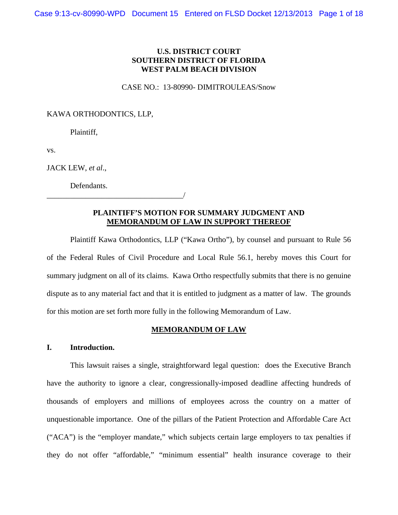## **U.S. DISTRICT COURT SOUTHERN DISTRICT OF FLORIDA WEST PALM BEACH DIVISION**

#### CASE NO.: 13-80990- DIMITROULEAS/Snow

### KAWA ORTHODONTICS, LLP,

Plaintiff,

vs.

JACK LEW, *et al*.,

Defendants.

\_\_\_\_\_\_\_\_\_\_\_\_\_\_\_\_\_\_\_\_\_\_\_\_\_\_\_\_\_\_\_\_\_\_\_/

### **PLAINTIFF'S MOTION FOR SUMMARY JUDGMENT AND MEMORANDUM OF LAW IN SUPPORT THEREOF**

Plaintiff Kawa Orthodontics, LLP ("Kawa Ortho"), by counsel and pursuant to Rule 56 of the Federal Rules of Civil Procedure and Local Rule 56.1, hereby moves this Court for summary judgment on all of its claims. Kawa Ortho respectfully submits that there is no genuine dispute as to any material fact and that it is entitled to judgment as a matter of law. The grounds for this motion are set forth more fully in the following Memorandum of Law.

### **MEMORANDUM OF LAW**

## **I. Introduction.**

This lawsuit raises a single, straightforward legal question: does the Executive Branch have the authority to ignore a clear, congressionally-imposed deadline affecting hundreds of thousands of employers and millions of employees across the country on a matter of unquestionable importance. One of the pillars of the Patient Protection and Affordable Care Act ("ACA") is the "employer mandate," which subjects certain large employers to tax penalties if they do not offer "affordable," "minimum essential" health insurance coverage to their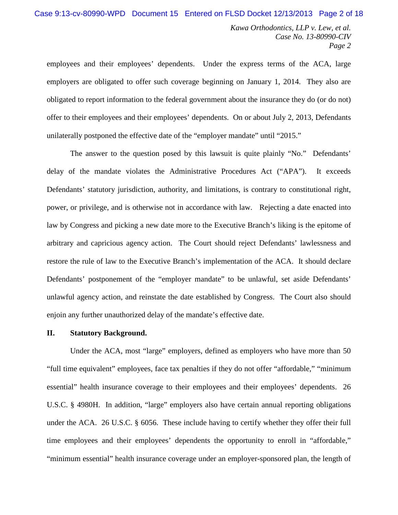employees and their employees' dependents. Under the express terms of the ACA, large employers are obligated to offer such coverage beginning on January 1, 2014. They also are obligated to report information to the federal government about the insurance they do (or do not) offer to their employees and their employees' dependents. On or about July 2, 2013, Defendants unilaterally postponed the effective date of the "employer mandate" until "2015."

The answer to the question posed by this lawsuit is quite plainly "No." Defendants' delay of the mandate violates the Administrative Procedures Act ("APA"). It exceeds Defendants' statutory jurisdiction, authority, and limitations, is contrary to constitutional right, power, or privilege, and is otherwise not in accordance with law. Rejecting a date enacted into law by Congress and picking a new date more to the Executive Branch's liking is the epitome of arbitrary and capricious agency action. The Court should reject Defendants' lawlessness and restore the rule of law to the Executive Branch's implementation of the ACA. It should declare Defendants' postponement of the "employer mandate" to be unlawful, set aside Defendants' unlawful agency action, and reinstate the date established by Congress. The Court also should enjoin any further unauthorized delay of the mandate's effective date.

### **II. Statutory Background.**

Under the ACA, most "large" employers, defined as employers who have more than 50 "full time equivalent" employees, face tax penalties if they do not offer "affordable," "minimum essential" health insurance coverage to their employees and their employees' dependents. 26 U.S.C. § 4980H. In addition, "large" employers also have certain annual reporting obligations under the ACA. 26 U.S.C. § 6056. These include having to certify whether they offer their full time employees and their employees' dependents the opportunity to enroll in "affordable," "minimum essential" health insurance coverage under an employer-sponsored plan, the length of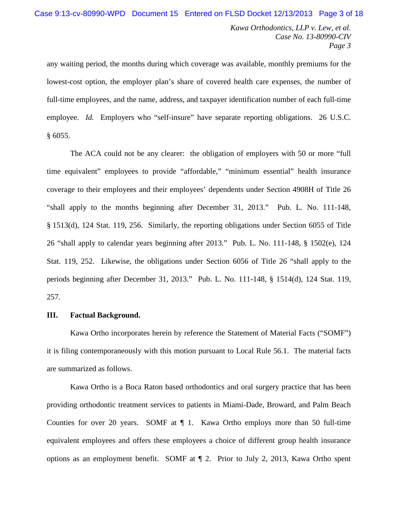any waiting period, the months during which coverage was available, monthly premiums for the lowest-cost option, the employer plan's share of covered health care expenses, the number of full-time employees, and the name, address, and taxpayer identification number of each full-time employee. *Id.* Employers who "self-insure" have separate reporting obligations. 26 U.S.C. § 6055.

The ACA could not be any clearer: the obligation of employers with 50 or more "full time equivalent" employees to provide "affordable," "minimum essential" health insurance coverage to their employees and their employees' dependents under Section 4908H of Title 26 "shall apply to the months beginning after December 31, 2013." Pub. L. No. 111-148, § 1513(d), 124 Stat. 119, 256. Similarly, the reporting obligations under Section 6055 of Title 26 "shall apply to calendar years beginning after 2013." Pub. L. No. 111-148, § 1502(e), 124 Stat. 119, 252. Likewise, the obligations under Section 6056 of Title 26 "shall apply to the periods beginning after December 31, 2013." Pub. L. No. 111-148, § 1514(d), 124 Stat. 119, 257.

## **III. Factual Background.**

Kawa Ortho incorporates herein by reference the Statement of Material Facts ("SOMF") it is filing contemporaneously with this motion pursuant to Local Rule 56.1. The material facts are summarized as follows.

Kawa Ortho is a Boca Raton based orthodontics and oral surgery practice that has been providing orthodontic treatment services to patients in Miami-Dade, Broward, and Palm Beach Counties for over 20 years. SOMF at ¶ 1. Kawa Ortho employs more than 50 full-time equivalent employees and offers these employees a choice of different group health insurance options as an employment benefit. SOMF at ¶ 2. Prior to July 2, 2013, Kawa Ortho spent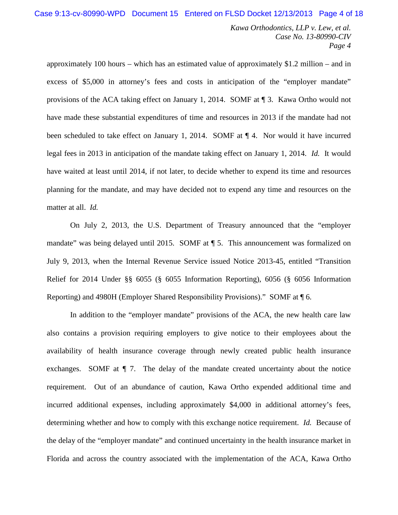approximately 100 hours – which has an estimated value of approximately \$1.2 million – and in excess of \$5,000 in attorney's fees and costs in anticipation of the "employer mandate" provisions of the ACA taking effect on January 1, 2014. SOMF at ¶ 3. Kawa Ortho would not have made these substantial expenditures of time and resources in 2013 if the mandate had not been scheduled to take effect on January 1, 2014. SOMF at  $\P$  4. Nor would it have incurred legal fees in 2013 in anticipation of the mandate taking effect on January 1, 2014. *Id.* It would have waited at least until 2014, if not later, to decide whether to expend its time and resources planning for the mandate, and may have decided not to expend any time and resources on the matter at all. *Id.*

On July 2, 2013, the U.S. Department of Treasury announced that the "employer mandate" was being delayed until 2015. SOMF at ¶ 5. This announcement was formalized on July 9, 2013, when the Internal Revenue Service issued Notice 2013-45, entitled "Transition Relief for 2014 Under §§ 6055 (§ 6055 Information Reporting), 6056 (§ 6056 Information Reporting) and 4980H (Employer Shared Responsibility Provisions)." SOMF at ¶ 6.

In addition to the "employer mandate" provisions of the ACA, the new health care law also contains a provision requiring employers to give notice to their employees about the availability of health insurance coverage through newly created public health insurance exchanges. SOMF at  $\P$  7. The delay of the mandate created uncertainty about the notice requirement. Out of an abundance of caution, Kawa Ortho expended additional time and incurred additional expenses, including approximately \$4,000 in additional attorney's fees, determining whether and how to comply with this exchange notice requirement. *Id.* Because of the delay of the "employer mandate" and continued uncertainty in the health insurance market in Florida and across the country associated with the implementation of the ACA, Kawa Ortho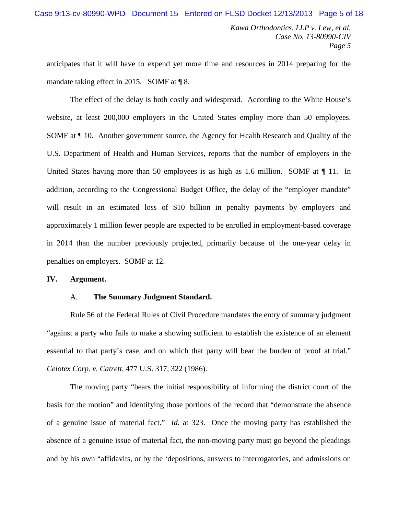anticipates that it will have to expend yet more time and resources in 2014 preparing for the mandate taking effect in 2015. SOMF at ¶ 8.

The effect of the delay is both costly and widespread. According to the White House's website, at least 200,000 employers in the United States employ more than 50 employees. SOMF at ¶ 10. Another government source, the Agency for Health Research and Quality of the U.S. Department of Health and Human Services, reports that the number of employers in the United States having more than 50 employees is as high as 1.6 million. SOMF at  $\P$  11. In addition, according to the Congressional Budget Office, the delay of the "employer mandate" will result in an estimated loss of \$10 billion in penalty payments by employers and approximately 1 million fewer people are expected to be enrolled in employment-based coverage in 2014 than the number previously projected, primarily because of the one-year delay in penalties on employers. SOMF at 12.

## **IV. Argument.**

#### A. **The Summary Judgment Standard.**

Rule 56 of the Federal Rules of Civil Procedure mandates the entry of summary judgment "against a party who fails to make a showing sufficient to establish the existence of an element essential to that party's case, and on which that party will bear the burden of proof at trial." *Celotex Corp. v. Catrett*, 477 U.S. 317, 322 (1986).

The moving party "bears the initial responsibility of informing the district court of the basis for the motion" and identifying those portions of the record that "demonstrate the absence of a genuine issue of material fact." *Id.* at 323. Once the moving party has established the absence of a genuine issue of material fact, the non-moving party must go beyond the pleadings and by his own "affidavits, or by the 'depositions, answers to interrogatories, and admissions on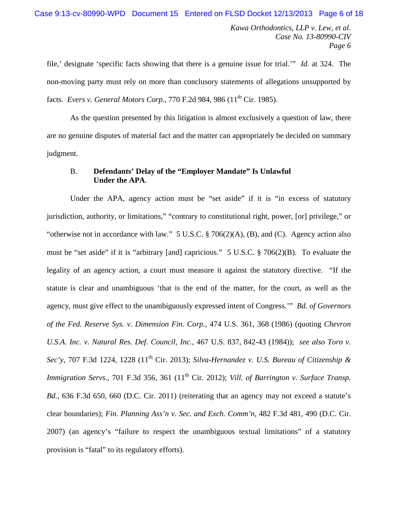file,' designate 'specific facts showing that there is a genuine issue for trial.'" *Id.* at 324. The non-moving party must rely on more than conclusory statements of allegations unsupported by facts. *Evers v. General Motors Corp.*, 770 F.2d 984, 986 (11<sup>th</sup> Cir. 1985).

As the question presented by this litigation is almost exclusively a question of law, there are no genuine disputes of material fact and the matter can appropriately be decided on summary judgment.

## B. **Defendants' Delay of the "Employer Mandate" Is Unlawful Under the APA**.

Under the APA, agency action must be "set aside" if it is "in excess of statutory jurisdiction, authority, or limitations," "contrary to constitutional right, power, [or] privilege," or "otherwise not in accordance with law." 5 U.S.C.  $\S$  706(2)(A), (B), and (C). Agency action also must be "set aside" if it is "arbitrary [and] capricious." 5 U.S.C. § 706(2)(B). To evaluate the legality of an agency action, a court must measure it against the statutory directive. "If the statute is clear and unambiguous 'that is the end of the matter, for the court, as well as the agency, must give effect to the unambiguously expressed intent of Congress.'" *Bd. of Governors of the Fed. Reserve Sys. v. Dimension Fin. Corp.*, 474 U.S. 361, 368 (1986) (quoting *Chevron U.S.A. Inc. v. Natural Res. Def. Council, Inc.*, 467 U.S. 837, 842-43 (1984)); *see also Toro v. Sec'y*, 707 F.3d 1224, 1228 (11th Cir. 2013); *Silva-Hernandez v. U.S. Bureau of Citizenship & Immigration Servs.*, 701 F.3d 356, 361 (11<sup>th</sup> Cir. 2012); *Vill. of Barrington v. Surface Transp. Bd.*, 636 F.3d 650, 660 (D.C. Cir. 2011) (reiterating that an agency may not exceed a statute's clear boundaries); *Fin. Planning Ass'n v. Sec. and Exch. Comm'n*, 482 F.3d 481, 490 (D.C. Cir. 2007) (an agency's "failure to respect the unambiguous textual limitations" of a statutory provision is "fatal" to its regulatory efforts).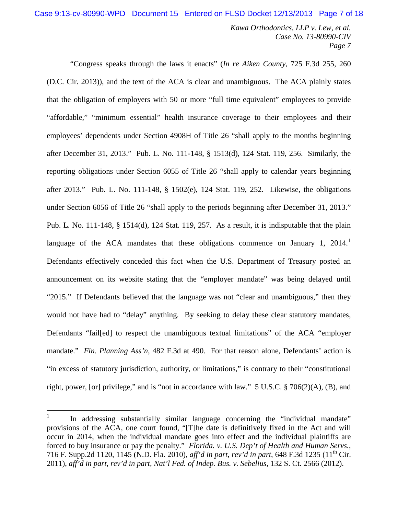"Congress speaks through the laws it enacts" (*In re Aiken County*, 725 F.3d 255, 260 (D.C. Cir. 2013)), and the text of the ACA is clear and unambiguous. The ACA plainly states that the obligation of employers with 50 or more "full time equivalent" employees to provide "affordable," "minimum essential" health insurance coverage to their employees and their employees' dependents under Section 4908H of Title 26 "shall apply to the months beginning after December 31, 2013." Pub. L. No. 111-148, § 1513(d), 124 Stat. 119, 256. Similarly, the reporting obligations under Section 6055 of Title 26 "shall apply to calendar years beginning after 2013." Pub. L. No. 111-148, § 1502(e), 124 Stat. 119, 252. Likewise, the obligations under Section 6056 of Title 26 "shall apply to the periods beginning after December 31, 2013." Pub. L. No. 111-148, § 1514(d), 124 Stat. 119, 257. As a result, it is indisputable that the plain language of the ACA mandates that these obligations commence on January [1](#page-6-0), 2014.<sup>1</sup> Defendants effectively conceded this fact when the U.S. Department of Treasury posted an announcement on its website stating that the "employer mandate" was being delayed until "2015." If Defendants believed that the language was not "clear and unambiguous," then they would not have had to "delay" anything. By seeking to delay these clear statutory mandates, Defendants "fail[ed] to respect the unambiguous textual limitations" of the ACA "employer mandate." *Fin. Planning Ass'n*, 482 F.3d at 490. For that reason alone, Defendants' action is "in excess of statutory jurisdiction, authority, or limitations," is contrary to their "constitutional right, power, [or] privilege," and is "not in accordance with law." 5 U.S.C. § 706(2)(A), (B), and

<span id="page-6-0"></span> $1$  In addressing substantially similar language concerning the "individual mandate" provisions of the ACA, one court found, "[T]he date is definitively fixed in the Act and will occur in 2014, when the individual mandate goes into effect and the individual plaintiffs are forced to buy insurance or pay the penalty." *Florida. v. U.S. Dep't of Health and Human Servs.*, 716 F. Supp.2d 1120, 1145 (N.D. Fla. 2010), *aff'd in part, rev'd in part*, 648 F.3d 1235 (11th Cir. 2011), *aff'd in part, rev'd in part, Nat'l Fed. of Indep. Bus. v. Sebelius*, 132 S. Ct. 2566 (2012).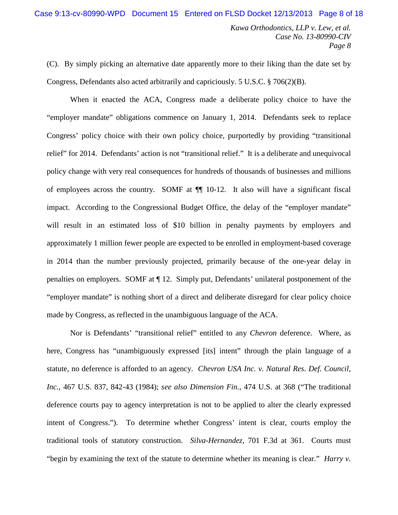(C). By simply picking an alternative date apparently more to their liking than the date set by Congress, Defendants also acted arbitrarily and capriciously. 5 U.S.C.  $\S$  706(2)(B).

When it enacted the ACA, Congress made a deliberate policy choice to have the "employer mandate" obligations commence on January 1, 2014. Defendants seek to replace Congress' policy choice with their own policy choice, purportedly by providing "transitional relief" for 2014. Defendants' action is not "transitional relief." It is a deliberate and unequivocal policy change with very real consequences for hundreds of thousands of businesses and millions of employees across the country. SOMF at ¶¶ 10-12. It also will have a significant fiscal impact. According to the Congressional Budget Office, the delay of the "employer mandate" will result in an estimated loss of \$10 billion in penalty payments by employers and approximately 1 million fewer people are expected to be enrolled in employment-based coverage in 2014 than the number previously projected, primarily because of the one-year delay in penalties on employers. SOMF at ¶ 12. Simply put, Defendants' unilateral postponement of the "employer mandate" is nothing short of a direct and deliberate disregard for clear policy choice made by Congress, as reflected in the unambiguous language of the ACA.

Nor is Defendants' "transitional relief" entitled to any *Chevron* deference. Where, as here, Congress has "unambiguously expressed [its] intent" through the plain language of a statute, no deference is afforded to an agency. *Chevron USA Inc. v. Natural Res. Def. Council, Inc.*, 467 U.S. 837*,* 842-43 (1984); *see also Dimension Fin.*, 474 U.S. at 368 ("The traditional deference courts pay to agency interpretation is not to be applied to alter the clearly expressed intent of Congress."). To determine whether Congress' intent is clear, courts employ the traditional tools of statutory construction. *Silva-Hernandez*, 701 F.3d at 361. Courts must "begin by examining the text of the statute to determine whether its meaning is clear." *Harry v.*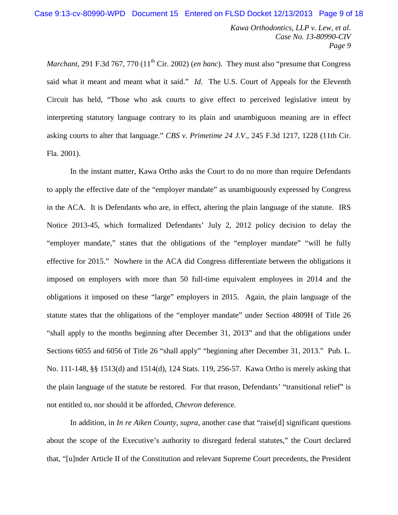*Marchant*, 291 F.3d 767, 770 (11<sup>th</sup> Cir. 2002) (*en banc*). They must also "presume that Congress said what it meant and meant what it said." *Id*. The U.S. Court of Appeals for the Eleventh Circuit has held, "Those who ask courts to give effect to perceived legislative intent by interpreting statutory language contrary to its plain and unambiguous meaning are in effect asking courts to alter that language." *CBS v. Primetime 24 J.V*., 245 F.3d 1217, 1228 (11th Cir. Fla. 2001).

In the instant matter, Kawa Ortho asks the Court to do no more than require Defendants to apply the effective date of the "employer mandate" as unambiguously expressed by Congress in the ACA. It is Defendants who are, in effect, altering the plain language of the statute. IRS Notice 2013-45, which formalized Defendants' July 2, 2012 policy decision to delay the "employer mandate," states that the obligations of the "employer mandate" "will be fully effective for 2015." Nowhere in the ACA did Congress differentiate between the obligations it imposed on employers with more than 50 full-time equivalent employees in 2014 and the obligations it imposed on these "large" employers in 2015. Again, the plain language of the statute states that the obligations of the "employer mandate" under Section 4809H of Title 26 "shall apply to the months beginning after December 31, 2013" and that the obligations under Sections 6055 and 6056 of Title 26 "shall apply" "beginning after December 31, 2013." Pub. L. No. 111-148, §§ 1513(d) and 1514(d), 124 Stats. 119, 256-57. Kawa Ortho is merely asking that the plain language of the statute be restored. For that reason, Defendants' "transitional relief" is not entitled to, nor should it be afforded, *Chevron* deference.

In addition, in *In re Aiken County*, *supra*, another case that "raise[d] significant questions about the scope of the Executive's authority to disregard federal statutes," the Court declared that, "[u]nder Article II of the Constitution and relevant Supreme Court precedents, the President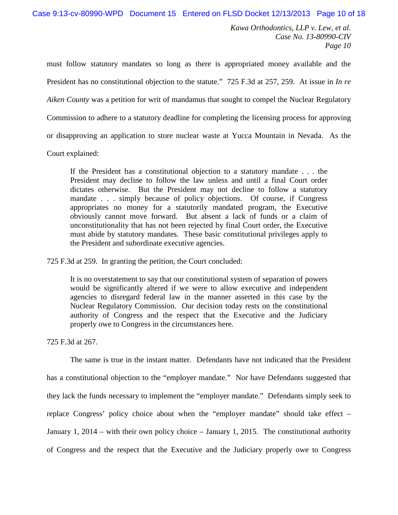must follow statutory mandates so long as there is appropriated money available and the President has no constitutional objection to the statute." 725 F.3d at 257, 259. At issue in *In re Aiken County* was a petition for writ of mandamus that sought to compel the Nuclear Regulatory Commission to adhere to a statutory deadline for completing the licensing process for approving or disapproving an application to store nuclear waste at Yucca Mountain in Nevada. As the

Court explained:

If the President has a constitutional objection to a statutory mandate . . . the President may decline to follow the law unless and until a final Court order dictates otherwise. But the President may not decline to follow a statutory mandate . . . simply because of policy objections. Of course, if Congress appropriates no money for a statutorily mandated program, the Executive obviously cannot move forward. But absent a lack of funds or a claim of unconstitutionality that has not been rejected by final Court order, the Executive must abide by statutory mandates. These basic constitutional privileges apply to the President and subordinate executive agencies.

725 F.3d at 259. In granting the petition, the Court concluded:

It is no overstatement to say that our constitutional system of separation of powers would be significantly altered if we were to allow executive and independent agencies to disregard federal law in the manner asserted in this case by the Nuclear Regulatory Commission. Our decision today rests on the constitutional authority of Congress and the respect that the Executive and the Judiciary properly owe to Congress in the circumstances here.

725 F.3d at 267.

The same is true in the instant matter. Defendants have not indicated that the President has a constitutional objection to the "employer mandate." Nor have Defendants suggested that they lack the funds necessary to implement the "employer mandate." Defendants simply seek to replace Congress' policy choice about when the "employer mandate" should take effect – January 1, 2014 – with their own policy choice – January 1, 2015. The constitutional authority of Congress and the respect that the Executive and the Judiciary properly owe to Congress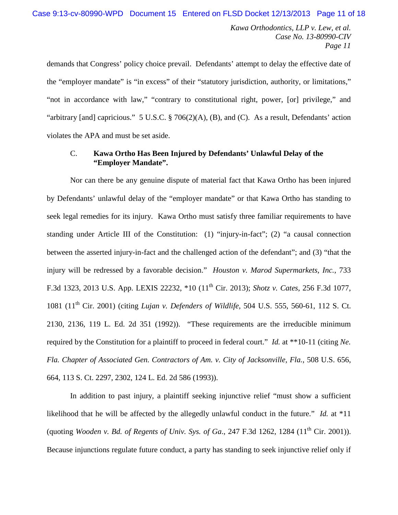demands that Congress' policy choice prevail. Defendants' attempt to delay the effective date of the "employer mandate" is "in excess" of their "statutory jurisdiction, authority, or limitations," "not in accordance with law," "contrary to constitutional right, power, [or] privilege," and "arbitrary [and] capricious." 5 U.S.C. § 706(2)(A), (B), and (C). As a result, Defendants' action violates the APA and must be set aside.

## C. **Kawa Ortho Has Been Injured by Defendants' Unlawful Delay of the "Employer Mandate".**

Nor can there be any genuine dispute of material fact that Kawa Ortho has been injured by Defendants' unlawful delay of the "employer mandate" or that Kawa Ortho has standing to seek legal remedies for its injury. Kawa Ortho must satisfy three familiar requirements to have standing under Article III of the Constitution: (1) "injury-in-fact"; (2) "a causal connection between the asserted injury-in-fact and the challenged action of the defendant"; and (3) "that the injury will be redressed by a favorable decision." *Houston v. Marod Supermarkets, Inc.*, 733 F.3d 1323, 2013 U.S. App. LEXIS 22232, \*10 (11th Cir. 2013); *Shotz v. Cates*, 256 F.3d 1077, 1081 (11th Cir. 2001) (citing *Lujan v. Defenders of Wildlife*, 504 U.S. 555, 560-61, 112 S. Ct. 2130, 2136, 119 L. Ed. 2d 351 (1992)). "These requirements are the irreducible minimum required by the Constitution for a plaintiff to proceed in federal court." *Id.* at \*\*10-11 (citing *Ne. Fla. Chapter of Associated Gen. Contractors of Am. v. City of Jacksonville, Fla.*, 508 U.S. 656, 664, 113 S. Ct. 2297, 2302, 124 L. Ed. 2d 586 (1993)).

In addition to past injury, a plaintiff seeking injunctive relief "must show a sufficient likelihood that he will be affected by the allegedly unlawful conduct in the future." *Id.* at \*11 (quoting *Wooden v. Bd. of Regents of Univ. Sys. of Ga.*, 247 F.3d 1262, 1284 (11<sup>th</sup> Cir. 2001)). Because injunctions regulate future conduct, a party has standing to seek injunctive relief only if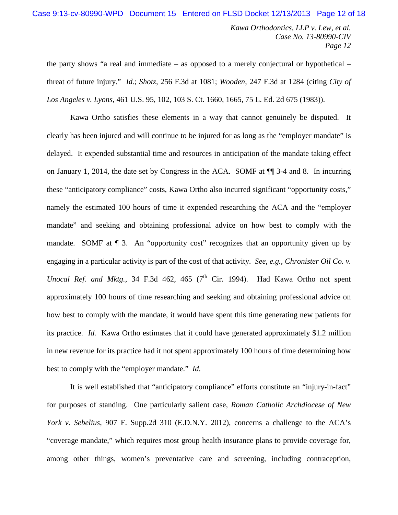the party shows "a real and immediate – as opposed to a merely conjectural or hypothetical – threat of future injury." *Id.*; *Shotz*, 256 F.3d at 1081; *Wooden*, 247 F.3d at 1284 (citing *City of Los Angeles v. Lyons*, 461 U.S. 95, 102, 103 S. Ct. 1660, 1665, 75 L. Ed. 2d 675 (1983)).

Kawa Ortho satisfies these elements in a way that cannot genuinely be disputed. It clearly has been injured and will continue to be injured for as long as the "employer mandate" is delayed. It expended substantial time and resources in anticipation of the mandate taking effect on January 1, 2014, the date set by Congress in the ACA. SOMF at ¶¶ 3-4 and 8. In incurring these "anticipatory compliance" costs, Kawa Ortho also incurred significant "opportunity costs," namely the estimated 100 hours of time it expended researching the ACA and the "employer mandate" and seeking and obtaining professional advice on how best to comply with the mandate. SOMF at  $\P$  3. An "opportunity cost" recognizes that an opportunity given up by engaging in a particular activity is part of the cost of that activity. *See*, *e.g.*, *Chronister Oil Co. v. Unocal Ref. and Mktg.*, 34 F.3d 462, 465 ( $7<sup>th</sup>$  Cir. 1994). Had Kawa Ortho not spent approximately 100 hours of time researching and seeking and obtaining professional advice on how best to comply with the mandate, it would have spent this time generating new patients for its practice. *Id.* Kawa Ortho estimates that it could have generated approximately \$1.2 million in new revenue for its practice had it not spent approximately 100 hours of time determining how best to comply with the "employer mandate." *Id.*

It is well established that "anticipatory compliance" efforts constitute an "injury-in-fact" for purposes of standing. One particularly salient case, *Roman Catholic Archdiocese of New York v. Sebelius*, 907 F. Supp.2d 310 (E.D.N.Y. 2012), concerns a challenge to the ACA's "coverage mandate," which requires most group health insurance plans to provide coverage for, among other things, women's preventative care and screening, including contraception,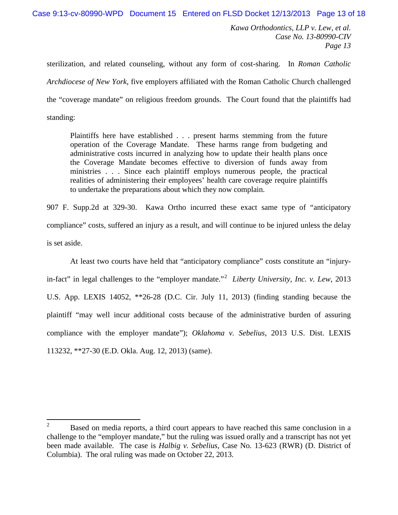Case 9:13-cv-80990-WPD Document 15 Entered on FLSD Docket 12/13/2013 Page 13 of 18

*Kawa Orthodontics, LLP v. Lew, et al. Case No. 13-80990-CIV Page 13*

sterilization, and related counseling, without any form of cost-sharing. In *Roman Catholic Archdiocese of New York*, five employers affiliated with the Roman Catholic Church challenged the "coverage mandate" on religious freedom grounds. The Court found that the plaintiffs had standing:

Plaintiffs here have established . . . present harms stemming from the future operation of the Coverage Mandate. These harms range from budgeting and administrative costs incurred in analyzing how to update their health plans once the Coverage Mandate becomes effective to diversion of funds away from ministries . . . Since each plaintiff employs numerous people, the practical realities of administering their employees' health care coverage require plaintiffs to undertake the preparations about which they now complain.

907 F. Supp.2d at 329-30. Kawa Ortho incurred these exact same type of "anticipatory compliance" costs, suffered an injury as a result, and will continue to be injured unless the delay is set aside.

At least two courts have held that "anticipatory compliance" costs constitute an "injuryin-fact" in legal challenges to the "employer mandate."[2](#page-12-0) *Liberty University, Inc. v. Lew*, 2013 U.S. App. LEXIS 14052, \*\*26-28 (D.C. Cir. July 11, 2013) (finding standing because the plaintiff "may well incur additional costs because of the administrative burden of assuring compliance with the employer mandate"); *Oklahoma v. Sebelius*, 2013 U.S. Dist. LEXIS 113232, \*\*27-30 (E.D. Okla. Aug. 12, 2013) (same).

<span id="page-12-0"></span><sup>&</sup>lt;sup>2</sup> Based on media reports, a third court appears to have reached this same conclusion in a challenge to the "employer mandate," but the ruling was issued orally and a transcript has not yet been made available. The case is *Halbig v. Sebelius*, Case No. 13-623 (RWR) (D. District of Columbia). The oral ruling was made on October 22, 2013.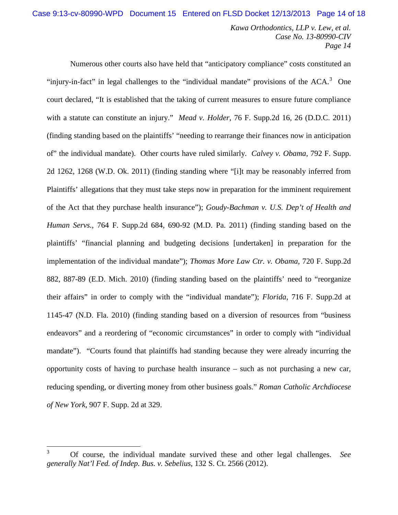Numerous other courts also have held that "anticipatory compliance" costs constituted an "injury-in-fact" in legal challenges to the "individual mandate" provisions of the  $ACA$ .<sup>[3](#page-13-0)</sup> One court declared, "It is established that the taking of current measures to ensure future compliance with a statute can constitute an injury." *Mead v. Holder*, 76 F. Supp.2d 16, 26 (D.D.C. 2011) (finding standing based on the plaintiffs' "needing to rearrange their finances now in anticipation of" the individual mandate). Other courts have ruled similarly. *Calvey v. Obama*, 792 F. Supp. 2d 1262, 1268 (W.D. Ok. 2011) (finding standing where "[i]t may be reasonably inferred from Plaintiffs' allegations that they must take steps now in preparation for the imminent requirement of the Act that they purchase health insurance"); *Goudy-Bachman v. U.S. Dep't of Health and Human Servs.*, 764 F. Supp.2d 684, 690-92 (M.D. Pa. 2011) (finding standing based on the plaintiffs' "financial planning and budgeting decisions [undertaken] in preparation for the implementation of the individual mandate"); *Thomas More Law Ctr. v. Obama*, 720 F. Supp.2d 882, 887-89 (E.D. Mich. 2010) (finding standing based on the plaintiffs' need to "reorganize their affairs" in order to comply with the "individual mandate"); *Florida*, 716 F. Supp.2d at 1145-47 (N.D. Fla. 2010) (finding standing based on a diversion of resources from "business endeavors" and a reordering of "economic circumstances" in order to comply with "individual mandate"). "Courts found that plaintiffs had standing because they were already incurring the opportunity costs of having to purchase health insurance – such as not purchasing a new car, reducing spending, or diverting money from other business goals." *Roman Catholic Archdiocese of New York*, 907 F. Supp. 2d at 329.

<span id="page-13-0"></span> <sup>3</sup> Of course, the individual mandate survived these and other legal challenges. *See generally Nat'l Fed. of Indep. Bus. v. Sebelius*, 132 S. Ct. 2566 (2012).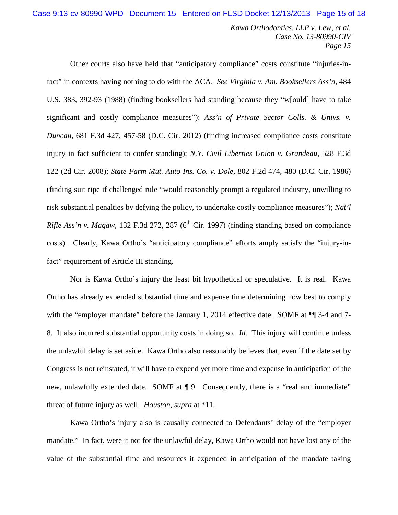Other courts also have held that "anticipatory compliance" costs constitute "injuries-infact" in contexts having nothing to do with the ACA. *See Virginia v. Am. Booksellers Ass'n*, 484 U.S. 383, 392-93 (1988) (finding booksellers had standing because they "w[ould] have to take significant and costly compliance measures"); *Ass'n of Private Sector Colls. & Univs. v. Duncan*, 681 F.3d 427, 457-58 (D.C. Cir. 2012) (finding increased compliance costs constitute injury in fact sufficient to confer standing); *N.Y. Civil Liberties Union v. Grandeau*, 528 F.3d 122 (2d Cir. 2008); *State Farm Mut. Auto Ins. Co. v. Dole*, 802 F.2d 474, 480 (D.C. Cir. 1986) (finding suit ripe if challenged rule "would reasonably prompt a regulated industry, unwilling to risk substantial penalties by defying the policy, to undertake costly compliance measures"); *Nat'l Rifle Ass'n v. Magaw*, 132 F.3d 272, 287 ( $6<sup>th</sup>$  Cir. 1997) (finding standing based on compliance costs). Clearly, Kawa Ortho's "anticipatory compliance" efforts amply satisfy the "injury-infact" requirement of Article III standing.

Nor is Kawa Ortho's injury the least bit hypothetical or speculative. It is real. Kawa Ortho has already expended substantial time and expense time determining how best to comply with the "employer mandate" before the January 1, 2014 effective date. SOMF at  $\P$  3-4 and 7-8. It also incurred substantial opportunity costs in doing so. *Id.* This injury will continue unless the unlawful delay is set aside. Kawa Ortho also reasonably believes that, even if the date set by Congress is not reinstated, it will have to expend yet more time and expense in anticipation of the new, unlawfully extended date. SOMF at  $\P$  9. Consequently, there is a "real and immediate" threat of future injury as well. *Houston*, *supra* at \*11.

Kawa Ortho's injury also is causally connected to Defendants' delay of the "employer mandate." In fact, were it not for the unlawful delay, Kawa Ortho would not have lost any of the value of the substantial time and resources it expended in anticipation of the mandate taking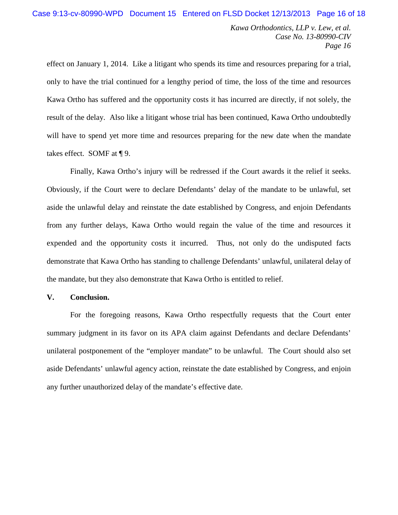effect on January 1, 2014. Like a litigant who spends its time and resources preparing for a trial, only to have the trial continued for a lengthy period of time, the loss of the time and resources Kawa Ortho has suffered and the opportunity costs it has incurred are directly, if not solely, the result of the delay. Also like a litigant whose trial has been continued, Kawa Ortho undoubtedly will have to spend yet more time and resources preparing for the new date when the mandate takes effect. SOMF at ¶ 9.

Finally, Kawa Ortho's injury will be redressed if the Court awards it the relief it seeks. Obviously, if the Court were to declare Defendants' delay of the mandate to be unlawful, set aside the unlawful delay and reinstate the date established by Congress, and enjoin Defendants from any further delays, Kawa Ortho would regain the value of the time and resources it expended and the opportunity costs it incurred. Thus, not only do the undisputed facts demonstrate that Kawa Ortho has standing to challenge Defendants' unlawful, unilateral delay of the mandate, but they also demonstrate that Kawa Ortho is entitled to relief.

### **V. Conclusion.**

For the foregoing reasons, Kawa Ortho respectfully requests that the Court enter summary judgment in its favor on its APA claim against Defendants and declare Defendants' unilateral postponement of the "employer mandate" to be unlawful. The Court should also set aside Defendants' unlawful agency action, reinstate the date established by Congress, and enjoin any further unauthorized delay of the mandate's effective date.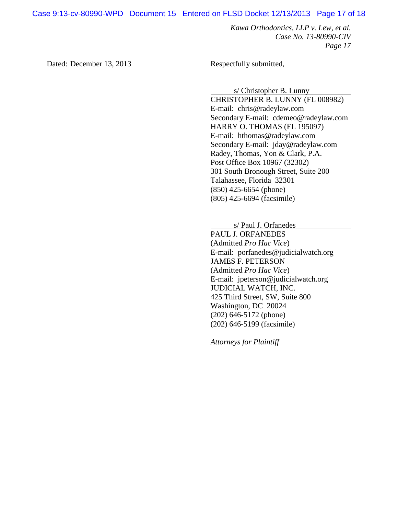Case 9:13-cv-80990-WPD Document 15 Entered on FLSD Docket 12/13/2013 Page 17 of 18

*Kawa Orthodontics, LLP v. Lew, et al. Case No. 13-80990-CIV Page 17*

Dated: December 13, 2013 Respectfully submitted,

s/ Christopher B. Lunny

CHRISTOPHER B. LUNNY (FL 008982) E-mail: chris@radeylaw.com Secondary E-mail: cdemeo@radeylaw.com HARRY O. THOMAS (FL 195097) E-mail: hthomas@radeylaw.com Secondary E-mail: jday@radeylaw.com Radey, Thomas, Yon & Clark, P.A. Post Office Box 10967 (32302) 301 South Bronough Street, Suite 200 Talahassee, Florida 32301 (850) 425-6654 (phone) (805) 425-6694 (facsimile)

s/ Paul J. Orfanedes

PAUL J. ORFANEDES (Admitted *Pro Hac Vice*) E-mail: porfanedes@judicialwatch.org JAMES F. PETERSON (Admitted *Pro Hac Vice*) E-mail: jpeterson@judicialwatch.org JUDICIAL WATCH, INC. 425 Third Street, SW, Suite 800 Washington, DC 20024 (202) 646-5172 (phone) (202) 646-5199 (facsimile)

*Attorneys for Plaintiff*